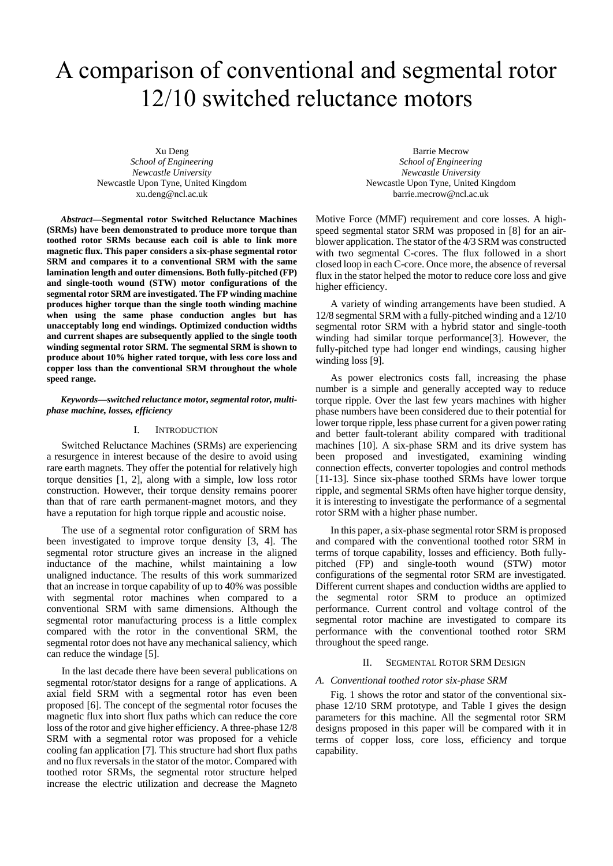# A comparison of conventional and segmental rotor 12/10 switched reluctance motors

Xu Deng *School of Engineering Newcastle University* Newcastle Upon Tyne, United Kingdom xu.deng@ncl.ac.uk

*Abstract***—Segmental rotor Switched Reluctance Machines (SRMs) have been demonstrated to produce more torque than toothed rotor SRMs because each coil is able to link more magnetic flux. This paper considers a six-phase segmental rotor SRM and compares it to a conventional SRM with the same lamination length and outer dimensions. Both fully-pitched (FP) and single-tooth wound (STW) motor configurations of the segmental rotor SRM are investigated. The FP winding machine produces higher torque than the single tooth winding machine when using the same phase conduction angles but has unacceptably long end windings. Optimized conduction widths and current shapes are subsequently applied to the single tooth winding segmental rotor SRM. The segmental SRM is shown to produce about 10% higher rated torque, with less core loss and copper loss than the conventional SRM throughout the whole speed range.**

#### *Keywords—switched reluctance motor, segmental rotor, multiphase machine, losses, efficiency*

#### I. INTRODUCTION

Switched Reluctance Machines (SRMs) are experiencing a resurgence in interest because of the desire to avoid using rare earth magnets. They offer the potential for relatively high torque densities [1, 2], along with a simple, low loss rotor construction. However, their torque density remains poorer than that of rare earth permanent-magnet motors, and they have a reputation for high torque ripple and acoustic noise.

The use of a segmental rotor configuration of SRM has been investigated to improve torque density [3, 4]. The segmental rotor structure gives an increase in the aligned inductance of the machine, whilst maintaining a low unaligned inductance. The results of this work summarized that an increase in torque capability of up to 40% was possible with segmental rotor machines when compared to a conventional SRM with same dimensions. Although the segmental rotor manufacturing process is a little complex compared with the rotor in the conventional SRM, the segmental rotor does not have any mechanical saliency, which can reduce the windage [5].

In the last decade there have been several publications on segmental rotor/stator designs for a range of applications. A axial field SRM with a segmental rotor has even been proposed [6]. The concept of the segmental rotor focuses the magnetic flux into short flux paths which can reduce the core loss of the rotor and give higher efficiency. A three-phase 12/8 SRM with a segmental rotor was proposed for a vehicle cooling fan application [7]. This structure had short flux paths and no flux reversals in the stator of the motor. Compared with toothed rotor SRMs, the segmental rotor structure helped increase the electric utilization and decrease the Magneto

Barrie Mecrow *School of Engineering Newcastle University* Newcastle Upon Tyne, United Kingdom barrie.mecrow@ncl.ac.uk

Motive Force (MMF) requirement and core losses. A highspeed segmental stator SRM was proposed in [8] for an airblower application. The stator of the 4/3 SRM was constructed with two segmental C-cores. The flux followed in a short closed loop in each C-core. Once more, the absence of reversal flux in the stator helped the motor to reduce core loss and give higher efficiency.

A variety of winding arrangements have been studied. A 12/8 segmental SRM with a fully-pitched winding and a 12/10 segmental rotor SRM with a hybrid stator and single-tooth winding had similar torque performance[3]. However, the fully-pitched type had longer end windings, causing higher winding loss [9].

As power electronics costs fall, increasing the phase number is a simple and generally accepted way to reduce torque ripple. Over the last few years machines with higher phase numbers have been considered due to their potential for lower torque ripple, less phase current for a given power rating and better fault-tolerant ability compared with traditional machines [10]. A six-phase SRM and its drive system has been proposed and investigated, examining winding connection effects, converter topologies and control methods [11-13]. Since six-phase toothed SRMs have lower torque ripple, and segmental SRMs often have higher torque density, it is interesting to investigate the performance of a segmental rotor SRM with a higher phase number.

In this paper, a six-phase segmental rotor SRM is proposed and compared with the conventional toothed rotor SRM in terms of torque capability, losses and efficiency. Both fullypitched (FP) and single-tooth wound (STW) motor configurations of the segmental rotor SRM are investigated. Different current shapes and conduction widths are applied to the segmental rotor SRM to produce an optimized performance. Current control and voltage control of the segmental rotor machine are investigated to compare its performance with the conventional toothed rotor SRM throughout the speed range.

# II. SEGMENTAL ROTOR SRM DESIGN

### *A. Conventional toothed rotor six-phase SRM*

[Fig. 1](#page-1-0) shows the rotor and stator of the conventional sixphase 12/10 SRM prototype, and Table I gives the design parameters for this machine. All the segmental rotor SRM designs proposed in this paper will be compared with it in terms of copper loss, core loss, efficiency and torque capability.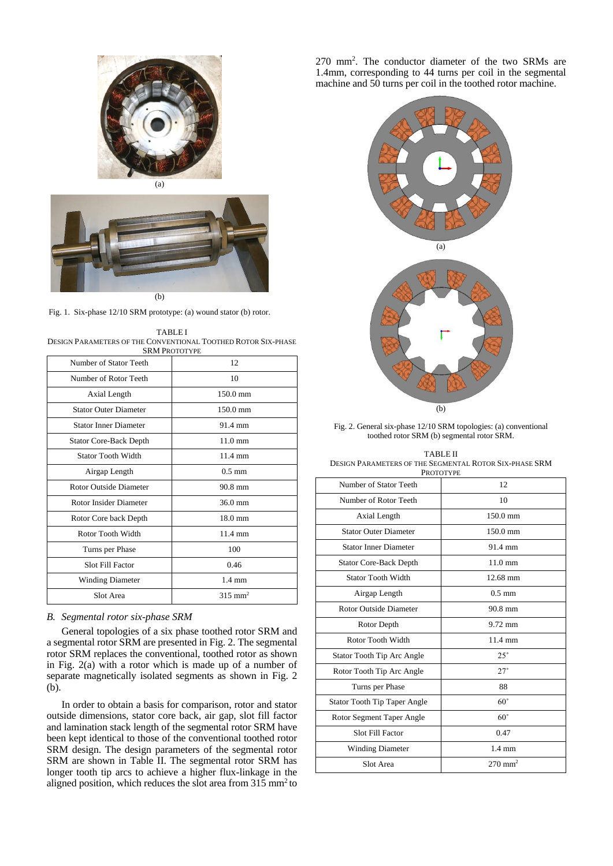





Fig. 1. Six-phase 12/10 SRM prototype: (a) wound stator (b) rotor.

<span id="page-1-0"></span>TABLE I DESIGN PARAMETERS OF THE CONVENTIONAL TOOTHED ROTOR SIX-PHASE SRM PROTOTYPE

| <b>JININI I NUTULIFE</b>      |                    |  |
|-------------------------------|--------------------|--|
| Number of Stator Teeth        | 12                 |  |
| Number of Rotor Teeth         | 10                 |  |
| Axial Length                  | $150.0 \text{ mm}$ |  |
| <b>Stator Outer Diameter</b>  | $150.0$ mm         |  |
| <b>Stator Inner Diameter</b>  | 91.4 mm            |  |
| <b>Stator Core-Back Depth</b> | $11.0 \text{ mm}$  |  |
| <b>Stator Tooth Width</b>     | $11.4 \text{ mm}$  |  |
| Airgap Length                 | $0.5 \text{ mm}$   |  |
| <b>Rotor Outside Diameter</b> | $90.8$ mm          |  |
| Rotor Insider Diameter        | $36.0 \text{ mm}$  |  |
| Rotor Core back Depth         | $18.0 \text{ mm}$  |  |
| Rotor Tooth Width             | $11.4 \text{ mm}$  |  |
| Turns per Phase               | 100                |  |
| <b>Slot Fill Factor</b>       | 0.46               |  |
| <b>Winding Diameter</b>       | $1.4 \text{ mm}$   |  |
| Slot Area                     | $315 \text{ mm}^2$ |  |

# *B. Segmental rotor six-phase SRM*

General topologies of a six phase toothed rotor SRM and a segmental rotor SRM are presented i[n Fig. 2.](#page-1-1) The segmental rotor SRM replaces the conventional, toothed rotor as shown in [Fig. 2\(](#page-1-1)a) with a rotor which is made up of a number of separate magnetically isolated segments as shown in [Fig. 2](#page-1-1) (b).

In order to obtain a basis for comparison, rotor and stator outside dimensions, stator core back, air gap, slot fill factor and lamination stack length of the segmental rotor SRM have been kept identical to those of the conventional toothed rotor SRM design. The design parameters of the segmental rotor SRM are shown in Table II. The segmental rotor SRM has longer tooth tip arcs to achieve a higher flux-linkage in the aligned position, which reduces the slot area from  $315 \text{ mm}^2$  to

270 mm<sup>2</sup> . The conductor diameter of the two SRMs are 1.4mm, corresponding to 44 turns per coil in the segmental machine and 50 turns per coil in the toothed rotor machine.



<span id="page-1-1"></span>Fig. 2. General six-phase 12/10 SRM topologies: (a) conventional toothed rotor SRM (b) segmental rotor SRM.

TABLE II DESIGN PARAMETERS OF THE SEGMENTAL ROTOR SIX-PHASE SRM **PROTOTYPE** 

| 1 NOTOT 11 E                        |                       |  |
|-------------------------------------|-----------------------|--|
| Number of Stator Teeth              | 12                    |  |
| Number of Rotor Teeth               | 10                    |  |
| Axial Length                        | $150.0 \text{ mm}$    |  |
| <b>Stator Outer Diameter</b>        | 150.0 mm              |  |
| <b>Stator Inner Diameter</b>        | 91.4 mm               |  |
| <b>Stator Core-Back Depth</b>       | $11.0 \text{ mm}$     |  |
| <b>Stator Tooth Width</b>           | 12.68 mm              |  |
| Airgap Length                       | $0.5$ mm              |  |
| <b>Rotor Outside Diameter</b>       | 90.8 mm               |  |
| Rotor Depth                         | $9.72$ mm             |  |
| Rotor Tooth Width                   | 11.4 mm               |  |
| Stator Tooth Tip Arc Angle          | $25^\circ$            |  |
| Rotor Tooth Tip Arc Angle           | $27^\circ$            |  |
| Turns per Phase                     | 88                    |  |
| <b>Stator Tooth Tip Taper Angle</b> | $60^\circ$            |  |
| Rotor Segment Taper Angle           | $60^\circ$            |  |
| <b>Slot Fill Factor</b>             | 0.47                  |  |
| <b>Winding Diameter</b>             | $1.4 \text{ mm}$      |  |
| Slot Area                           | $270$ mm <sup>2</sup> |  |
|                                     |                       |  |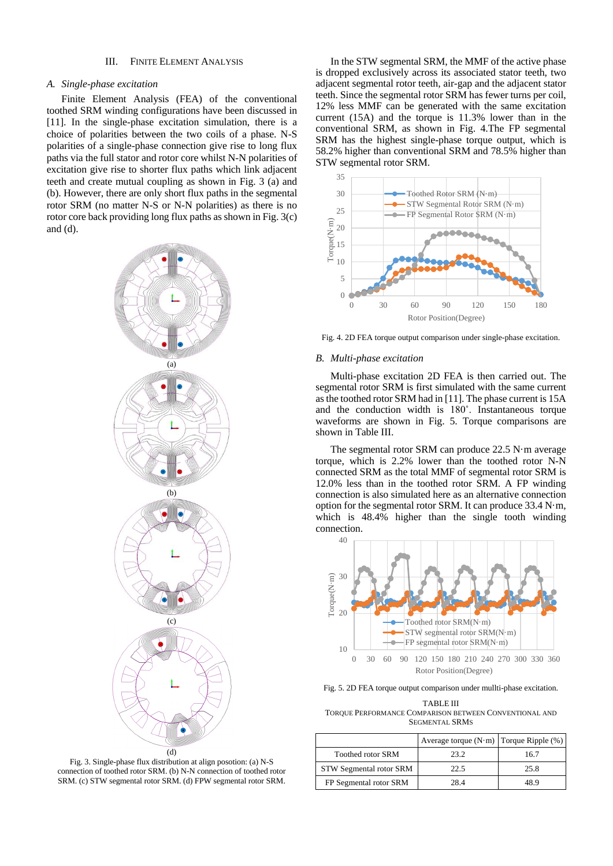### III. FINITE ELEMENT ANALYSIS

### *A. Single-phase excitation*

Finite Element Analysis (FEA) of the conventional toothed SRM winding configurations have been discussed in [11]. In the single-phase excitation simulation, there is a choice of polarities between the two coils of a phase. N-S polarities of a single-phase connection give rise to long flux paths via the full stator and rotor core whilst N-N polarities of excitation give rise to shorter flux paths which link adjacent teeth and create mutual coupling as shown in [Fig. 3](#page-2-0) (a) and (b). However, there are only short flux paths in the segmental rotor SRM (no matter N-S or N-N polarities) as there is no rotor core back providing long flux paths as shown i[n Fig. 3\(](#page-2-0)c) and (d).



<span id="page-2-0"></span>Fig. 3. Single-phase flux distribution at align posotion: (a) N-S connection of toothed rotor SRM. (b) N-N connection of toothed rotor SRM. (c) STW segmental rotor SRM. (d) FPW segmental rotor SRM.

In the STW segmental SRM, the MMF of the active phase is dropped exclusively across its associated stator teeth, two adjacent segmental rotor teeth, air-gap and the adjacent stator teeth. Since the segmental rotor SRM has fewer turns per coil, 12% less MMF can be generated with the same excitation current (15A) and the torque is 11.3% lower than in the conventional SRM, as shown in [Fig. 4.](#page-2-1)The FP segmental SRM has the highest single-phase torque output, which is 58.2% higher than conventional SRM and 78.5% higher than STW segmental rotor SRM.



<span id="page-2-1"></span>Fig. 4. 2D FEA torque output comparison under single-phase excitation.

#### *B. Multi-phase excitation*

Multi-phase excitation 2D FEA is then carried out. The segmental rotor SRM is first simulated with the same current asthe toothed rotor SRM had in [11]. The phase current is 15A and the conduction width is 180˚. Instantaneous torque waveforms are shown in [Fig. 5.](#page-2-2) Torque comparisons are shown in Table III.

The segmental rotor SRM can produce 22.5 N·m average torque, which is 2.2% lower than the toothed rotor N-N connected SRM as the total MMF of segmental rotor SRM is 12.0% less than in the toothed rotor SRM. A FP winding connection is also simulated here as an alternative connection option for the segmental rotor SRM. It can produce 33.4 N·m, which is 48.4% higher than the single tooth winding connection.



<span id="page-2-2"></span>Fig. 5. 2D FEA torque output comparison under mullti-phase excitation.

TABLE III TORQUE PERFORMANCE COMPARISON BETWEEN CONVENTIONAL AND SEGMENTAL SRMS

|                          | Average torque $(N \cdot m)$ Torque Ripple $(\%)$ |      |
|--------------------------|---------------------------------------------------|------|
| <b>Toothed rotor SRM</b> | 23.2                                              | 16.7 |
| STW Segmental rotor SRM  | 22.5                                              | 25.8 |
| FP Segmental rotor SRM   |                                                   |      |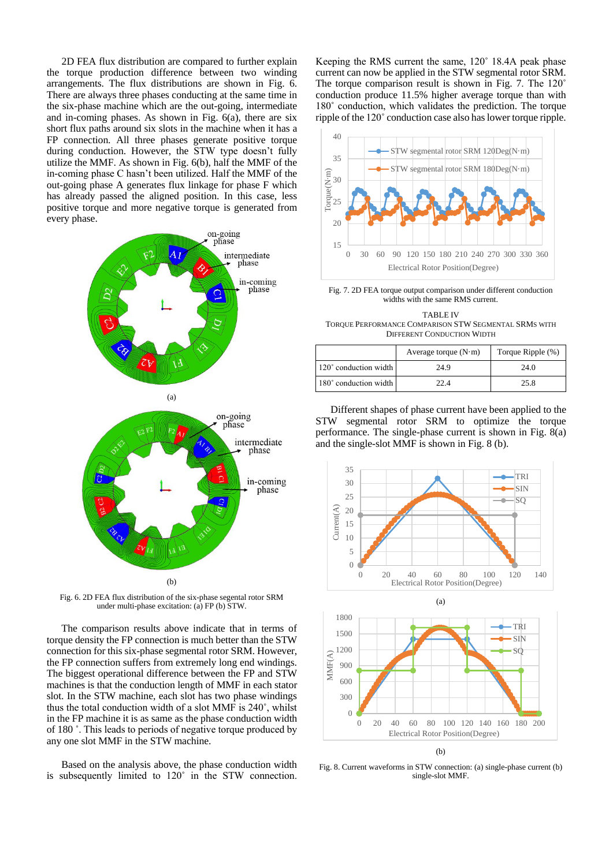2D FEA flux distribution are compared to further explain the torque production difference between two winding arrangements. The flux distributions are shown in [Fig. 6.](#page-3-0) There are always three phases conducting at the same time in the six-phase machine which are the out-going, intermediate and in-coming phases. As shown in [Fig. 6\(](#page-3-0)a), there are six short flux paths around six slots in the machine when it has a FP connection. All three phases generate positive torque during conduction. However, the STW type doesn't fully utilize the MMF. As shown i[n Fig. 6\(](#page-3-0)b), half the MMF of the in-coming phase C hasn't been utilized. Half the MMF of the out-going phase A generates flux linkage for phase F which has already passed the aligned position. In this case, less positive torque and more negative torque is generated from every phase.



<span id="page-3-0"></span>Fig. 6. 2D FEA flux distribution of the six-phase segental rotor SRM under multi-phase excitation: (a) FP (b) STW.

The comparison results above indicate that in terms of torque density the FP connection is much better than the STW connection for this six-phase segmental rotor SRM. However, the FP connection suffers from extremely long end windings. The biggest operational difference between the FP and STW machines is that the conduction length of MMF in each stator slot. In the STW machine, each slot has two phase windings thus the total conduction width of a slot MMF is 240˚, whilst in the FP machine it is as same as the phase conduction width of 180 ˚. This leads to periods of negative torque produced by any one slot MMF in the STW machine.

Based on the analysis above, the phase conduction width is subsequently limited to 120˚ in the STW connection. Keeping the RMS current the same, 120˚ 18.4A peak phase current can now be applied in the STW segmental rotor SRM. The torque comparison result is shown in [Fig. 7.](#page-3-1) The 120˚ conduction produce 11.5% higher average torque than with 180˚ conduction, which validates the prediction. The torque ripple of the 120˚ conduction case also has lower torque ripple.



<span id="page-3-1"></span>Fig. 7. 2D FEA torque output comparison under different conduction widths with the same RMS current.

TABLE IV TORQUE PERFORMANCE COMPARISON STW SEGMENTAL SRMS WITH DIFFERENT CONDUCTION WIDTH

|                       | Average torque $(N \cdot m)$ | Torque Ripple (%) |
|-----------------------|------------------------------|-------------------|
| 120° conduction width | 24.9                         | 24.0              |
| 180° conduction width | 22.4                         | 25.8              |

Different shapes of phase current have been applied to the STW segmental rotor SRM to optimize the torque performance. The single-phase current is shown in [Fig. 8\(](#page-3-2)a) and the single-slot MMF is shown i[n Fig. 8](#page-3-2) (b).





<span id="page-3-2"></span>Fig. 8. Current waveforms in STW connection: (a) single-phase current (b) single-slot MMF.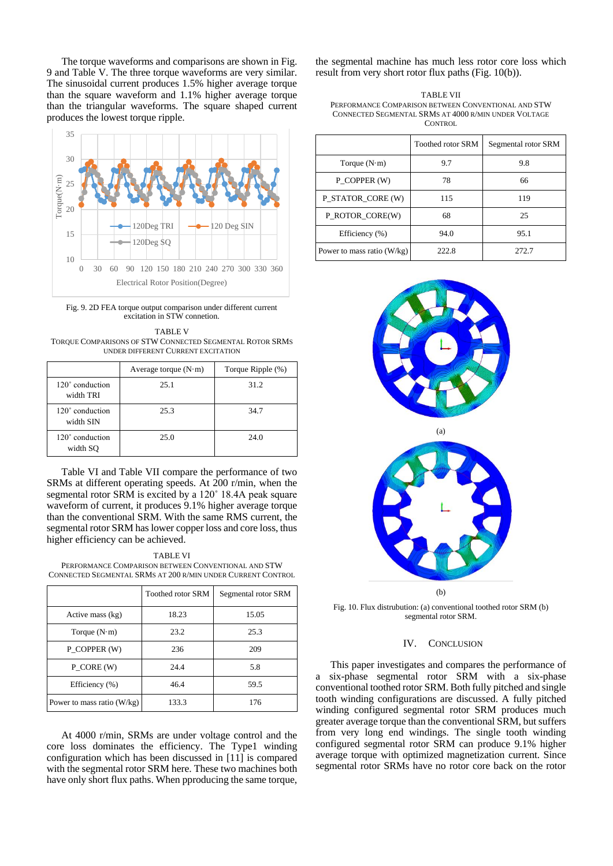The torque waveforms and comparisons are shown in [Fig.](#page-4-0)  [9](#page-4-0) and Table V. The three torque waveforms are very similar. The sinusoidal current produces 1.5% higher average torque than the square waveform and 1.1% higher average torque than the triangular waveforms. The square shaped current produces the lowest torque ripple.



<span id="page-4-0"></span>Fig. 9. 2D FEA torque output comparison under different current excitation in STW connetion.

TABLE V TORQUE COMPARISONS OF STW CONNECTED SEGMENTAL ROTOR SRMS UNDER DIFFERENT CURRENT EXCITATION

|                              | Average torque $(N \cdot m)$ | Torque Ripple (%) |
|------------------------------|------------------------------|-------------------|
| 120° conduction<br>width TRI | 25.1                         | 31.2              |
| 120° conduction<br>width SIN | 25.3                         | 34.7              |
| 120° conduction<br>width SO  | 25.0                         | 24.0              |

Table VI and Table VII compare the performance of two SRMs at different operating speeds. At 200 r/min, when the segmental rotor SRM is excited by a 120˚ 18.4A peak square waveform of current, it produces 9.1% higher average torque than the conventional SRM. With the same RMS current, the segmental rotor SRM has lower copper loss and core loss, thus higher efficiency can be achieved.

#### TABLE VI

PERFORMANCE COMPARISON BETWEEN CONVENTIONAL AND STW CONNECTED SEGMENTAL SRMS AT 200 R/MIN UNDER CURRENT CONTROL

|                            | <b>Toothed rotor SRM</b> | Segmental rotor SRM |
|----------------------------|--------------------------|---------------------|
| Active mass (kg)           | 18.23                    | 15.05               |
| Torque $(N \cdot m)$       | 23.2                     | 25.3                |
| P COPPER (W)               | 236                      | 209                 |
| P CORE (W)                 | 24.4                     | 5.8                 |
| Efficiency $(\% )$         | 46.4                     | 59.5                |
| Power to mass ratio (W/kg) | 133.3                    | 176                 |

At 4000 r/min, SRMs are under voltage control and the core loss dominates the efficiency. The Type1 winding configuration which has been discussed in [11] is compared with the segmental rotor SRM here. These two machines both have only short flux paths. When pproducing the same torque,

the segmental machine has much less rotor core loss which result from very short rotor flux paths [\(Fig. 10\(](#page-4-1)b)).

| TABLE VII                                            |  |
|------------------------------------------------------|--|
| PERFORMANCE COMPARISON BETWEEN CONVENTIONAL AND STW  |  |
| CONNECTED SEGMENTAL SRMS AT 4000 R/MIN UNDER VOLTAGE |  |
| CONTROL                                              |  |

|                            | <b>Toothed rotor SRM</b> | Segmental rotor SRM |
|----------------------------|--------------------------|---------------------|
| Torque $(N \cdot m)$       | 9.7                      | 9.8                 |
| P COPPER (W)               | 78                       | 66                  |
| P_STATOR_CORE (W)          | 115                      | 119                 |
| P_ROTOR_CORE(W)            | 68                       | 25                  |
| Efficiency (%)             | 94.0                     | 95.1                |
| Power to mass ratio (W/kg) | 222.8                    | 2.72.7              |



(b)

<span id="page-4-1"></span>Fig. 10. Flux distrubution: (a) conventional toothed rotor SRM (b) segmental rotor SRM.

#### IV. CONCLUSION

This paper investigates and compares the performance of a six-phase segmental rotor SRM with a six-phase conventional toothed rotor SRM. Both fully pitched and single tooth winding configurations are discussed. A fully pitched winding configured segmental rotor SRM produces much greater average torque than the conventional SRM, but suffers from very long end windings. The single tooth winding configured segmental rotor SRM can produce 9.1% higher average torque with optimized magnetization current. Since segmental rotor SRMs have no rotor core back on the rotor